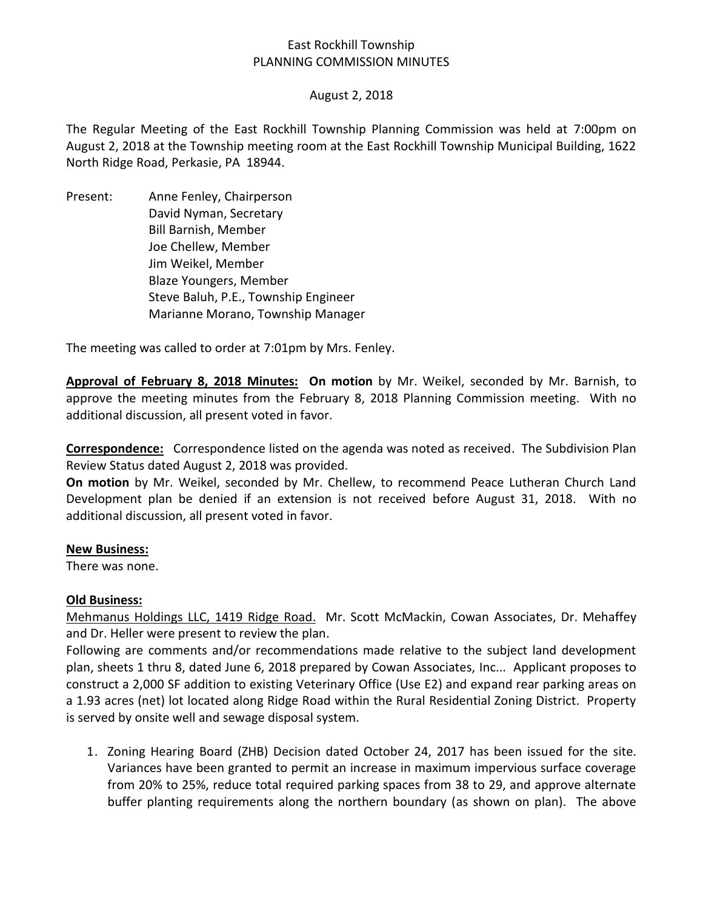# East Rockhill Township PLANNING COMMISSION MINUTES

### August 2, 2018

The Regular Meeting of the East Rockhill Township Planning Commission was held at 7:00pm on August 2, 2018 at the Township meeting room at the East Rockhill Township Municipal Building, 1622 North Ridge Road, Perkasie, PA 18944.

Present: Anne Fenley, Chairperson David Nyman, Secretary Bill Barnish, Member Joe Chellew, Member Jim Weikel, Member Blaze Youngers, Member Steve Baluh, P.E., Township Engineer Marianne Morano, Township Manager

The meeting was called to order at 7:01pm by Mrs. Fenley.

**Approval of February 8, 2018 Minutes: On motion** by Mr. Weikel, seconded by Mr. Barnish, to approve the meeting minutes from the February 8, 2018 Planning Commission meeting. With no additional discussion, all present voted in favor.

**Correspondence:** Correspondence listed on the agenda was noted as received. The Subdivision Plan Review Status dated August 2, 2018 was provided.

**On motion** by Mr. Weikel, seconded by Mr. Chellew, to recommend Peace Lutheran Church Land Development plan be denied if an extension is not received before August 31, 2018. With no additional discussion, all present voted in favor.

#### **New Business:**

There was none.

#### **Old Business:**

Mehmanus Holdings LLC, 1419 Ridge Road. Mr. Scott McMackin, Cowan Associates, Dr. Mehaffey and Dr. Heller were present to review the plan.

Following are comments and/or recommendations made relative to the subject land development plan, sheets 1 thru 8, dated June 6, 2018 prepared by Cowan Associates, Inc... Applicant proposes to construct a 2,000 SF addition to existing Veterinary Office (Use E2) and expand rear parking areas on a 1.93 acres (net) lot located along Ridge Road within the Rural Residential Zoning District. Property is served by onsite well and sewage disposal system.

1. Zoning Hearing Board (ZHB) Decision dated October 24, 2017 has been issued for the site. Variances have been granted to permit an increase in maximum impervious surface coverage from 20% to 25%, reduce total required parking spaces from 38 to 29, and approve alternate buffer planting requirements along the northern boundary (as shown on plan). The above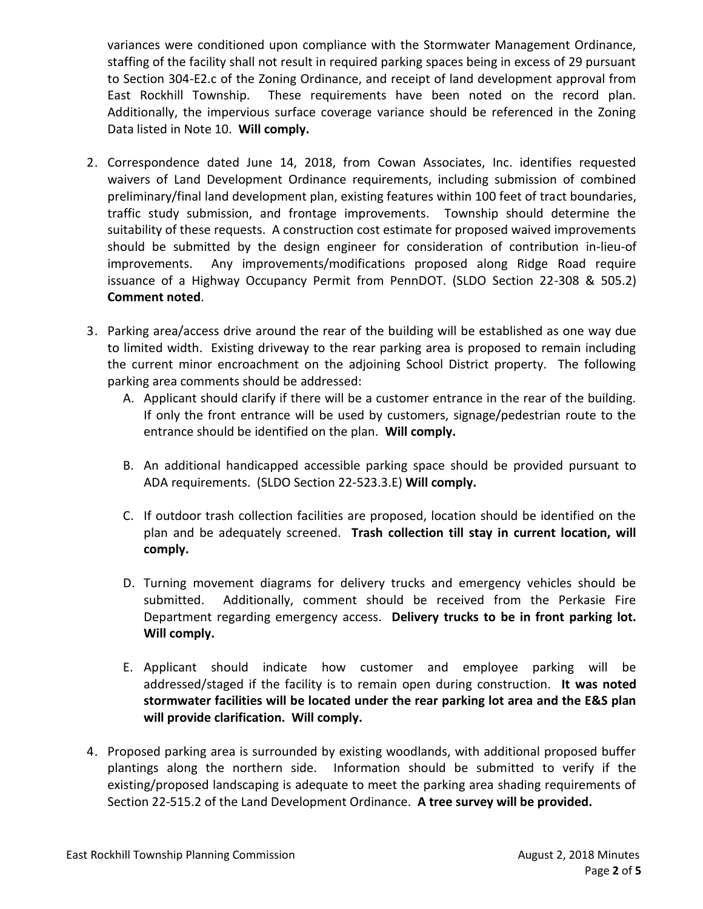variances were conditioned upon compliance with the Stormwater Management Ordinance, staffing of the facility shall not result in required parking spaces being in excess of 29 pursuant to Section 304-E2.c of the Zoning Ordinance, and receipt of land development approval from East Rockhill Township. These requirements have been noted on the record plan. Additionally, the impervious surface coverage variance should be referenced in the Zoning Data listed in Note 10. **Will comply.** 

- 2. Correspondence dated June 14, 2018, from Cowan Associates, Inc. identifies requested waivers of Land Development Ordinance requirements, including submission of combined preliminary/final land development plan, existing features within 100 feet of tract boundaries, traffic study submission, and frontage improvements. Township should determine the suitability of these requests. A construction cost estimate for proposed waived improvements should be submitted by the design engineer for consideration of contribution in-lieu-of improvements. Any improvements/modifications proposed along Ridge Road require issuance of a Highway Occupancy Permit from PennDOT. (SLDO Section 22-308 & 505.2) **Comment noted**.
- 3. Parking area/access drive around the rear of the building will be established as one way due to limited width. Existing driveway to the rear parking area is proposed to remain including the current minor encroachment on the adjoining School District property. The following parking area comments should be addressed:
	- A. Applicant should clarify if there will be a customer entrance in the rear of the building. If only the front entrance will be used by customers, signage/pedestrian route to the entrance should be identified on the plan. **Will comply.**
	- B. An additional handicapped accessible parking space should be provided pursuant to ADA requirements. (SLDO Section 22-523.3.E) **Will comply.**
	- C. If outdoor trash collection facilities are proposed, location should be identified on the plan and be adequately screened. **Trash collection till stay in current location, will comply.**
	- D. Turning movement diagrams for delivery trucks and emergency vehicles should be submitted. Additionally, comment should be received from the Perkasie Fire Department regarding emergency access. **Delivery trucks to be in front parking lot. Will comply.**
	- E. Applicant should indicate how customer and employee parking will be addressed/staged if the facility is to remain open during construction. **It was noted stormwater facilities will be located under the rear parking lot area and the E&S plan will provide clarification. Will comply.**
- 4. Proposed parking area is surrounded by existing woodlands, with additional proposed buffer plantings along the northern side. Information should be submitted to verify if the existing/proposed landscaping is adequate to meet the parking area shading requirements of Section 22-515.2 of the Land Development Ordinance. **A tree survey will be provided.**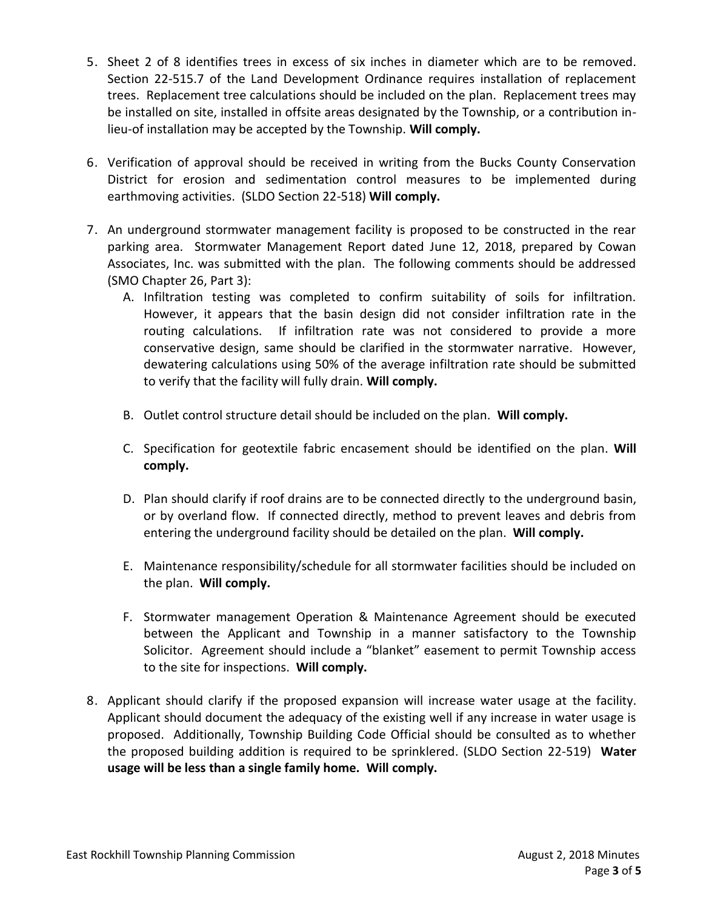- 5. Sheet 2 of 8 identifies trees in excess of six inches in diameter which are to be removed. Section 22-515.7 of the Land Development Ordinance requires installation of replacement trees. Replacement tree calculations should be included on the plan. Replacement trees may be installed on site, installed in offsite areas designated by the Township, or a contribution inlieu-of installation may be accepted by the Township. **Will comply.**
- 6. Verification of approval should be received in writing from the Bucks County Conservation District for erosion and sedimentation control measures to be implemented during earthmoving activities. (SLDO Section 22-518) **Will comply.**
- 7. An underground stormwater management facility is proposed to be constructed in the rear parking area. Stormwater Management Report dated June 12, 2018, prepared by Cowan Associates, Inc. was submitted with the plan. The following comments should be addressed (SMO Chapter 26, Part 3):
	- A. Infiltration testing was completed to confirm suitability of soils for infiltration. However, it appears that the basin design did not consider infiltration rate in the routing calculations. If infiltration rate was not considered to provide a more conservative design, same should be clarified in the stormwater narrative. However, dewatering calculations using 50% of the average infiltration rate should be submitted to verify that the facility will fully drain. **Will comply.**
	- B. Outlet control structure detail should be included on the plan. **Will comply.**
	- C. Specification for geotextile fabric encasement should be identified on the plan. **Will comply.**
	- D. Plan should clarify if roof drains are to be connected directly to the underground basin, or by overland flow. If connected directly, method to prevent leaves and debris from entering the underground facility should be detailed on the plan. **Will comply.**
	- E. Maintenance responsibility/schedule for all stormwater facilities should be included on the plan. **Will comply.**
	- F. Stormwater management Operation & Maintenance Agreement should be executed between the Applicant and Township in a manner satisfactory to the Township Solicitor. Agreement should include a "blanket" easement to permit Township access to the site for inspections. **Will comply.**
- 8. Applicant should clarify if the proposed expansion will increase water usage at the facility. Applicant should document the adequacy of the existing well if any increase in water usage is proposed. Additionally, Township Building Code Official should be consulted as to whether the proposed building addition is required to be sprinklered. (SLDO Section 22-519) **Water usage will be less than a single family home. Will comply.**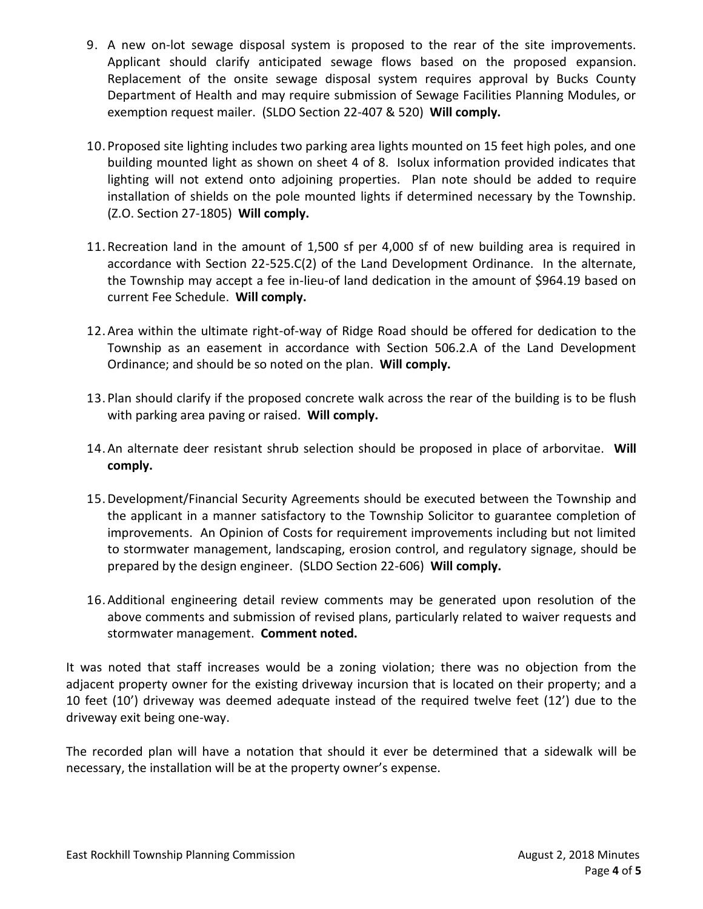- 9. A new on-lot sewage disposal system is proposed to the rear of the site improvements. Applicant should clarify anticipated sewage flows based on the proposed expansion. Replacement of the onsite sewage disposal system requires approval by Bucks County Department of Health and may require submission of Sewage Facilities Planning Modules, or exemption request mailer. (SLDO Section 22-407 & 520) **Will comply.**
- 10.Proposed site lighting includes two parking area lights mounted on 15 feet high poles, and one building mounted light as shown on sheet 4 of 8. Isolux information provided indicates that lighting will not extend onto adjoining properties. Plan note should be added to require installation of shields on the pole mounted lights if determined necessary by the Township. (Z.O. Section 27-1805) **Will comply.**
- 11.Recreation land in the amount of 1,500 sf per 4,000 sf of new building area is required in accordance with Section 22-525.C(2) of the Land Development Ordinance. In the alternate, the Township may accept a fee in-lieu-of land dedication in the amount of \$964.19 based on current Fee Schedule. **Will comply.**
- 12.Area within the ultimate right-of-way of Ridge Road should be offered for dedication to the Township as an easement in accordance with Section 506.2.A of the Land Development Ordinance; and should be so noted on the plan. **Will comply.**
- 13.Plan should clarify if the proposed concrete walk across the rear of the building is to be flush with parking area paving or raised. **Will comply.**
- 14.An alternate deer resistant shrub selection should be proposed in place of arborvitae. **Will comply.**
- 15.Development/Financial Security Agreements should be executed between the Township and the applicant in a manner satisfactory to the Township Solicitor to guarantee completion of improvements. An Opinion of Costs for requirement improvements including but not limited to stormwater management, landscaping, erosion control, and regulatory signage, should be prepared by the design engineer. (SLDO Section 22-606) **Will comply.**
- 16.Additional engineering detail review comments may be generated upon resolution of the above comments and submission of revised plans, particularly related to waiver requests and stormwater management. **Comment noted.**

It was noted that staff increases would be a zoning violation; there was no objection from the adjacent property owner for the existing driveway incursion that is located on their property; and a 10 feet (10') driveway was deemed adequate instead of the required twelve feet (12') due to the driveway exit being one-way.

The recorded plan will have a notation that should it ever be determined that a sidewalk will be necessary, the installation will be at the property owner's expense.